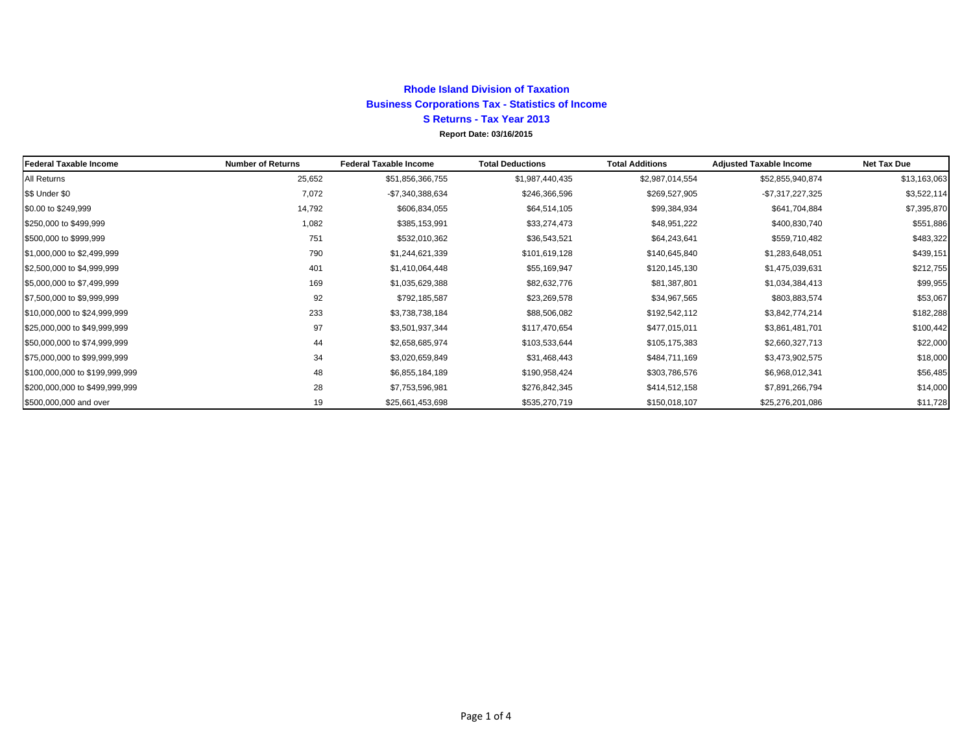## **Report Date: 03/16/2015 Rhode Island Division of Taxation Business Corporations Tax - Statistics of Income S Returns - Tax Year 2013**

| <b>Federal Taxable Income</b>  | <b>Number of Returns</b> | <b>Federal Taxable Income</b> | <b>Total Deductions</b> | <b>Total Additions</b> | <b>Adjusted Taxable Income</b> | <b>Net Tax Due</b> |
|--------------------------------|--------------------------|-------------------------------|-------------------------|------------------------|--------------------------------|--------------------|
| All Returns                    | 25,652                   | \$51,856,366,755              | \$1,987,440,435         | \$2,987,014,554        | \$52,855,940,874               | \$13,163,063       |
| \$\$ Under \$0                 | 7,072                    | -\$7,340,388,634              | \$246,366,596           | \$269,527,905          | $-$7,317,227,325$              | \$3,522,114        |
| \$0.00 to \$249,999            | 14,792                   | \$606,834,055                 | \$64,514,105            | \$99,384,934           | \$641,704,884                  | \$7,395,870        |
| \$250,000 to \$499,999         | 1,082                    | \$385,153,991                 | \$33,274,473            | \$48,951,222           | \$400,830,740                  | \$551,886          |
| \$500,000 to \$999,999         | 751                      | \$532,010,362                 | \$36,543,521            | \$64,243,641           | \$559,710,482                  | \$483,322          |
| \$1,000,000 to \$2,499,999     | 790                      | \$1,244,621,339               | \$101,619,128           | \$140,645,840          | \$1,283,648,051                | \$439,151          |
| \$2,500,000 to \$4,999,999     | 401                      | \$1,410,064,448               | \$55,169,947            | \$120,145,130          | \$1,475,039,631                | \$212,755          |
| \$5,000,000 to \$7,499,999     | 169                      | \$1,035,629,388               | \$82,632,776            | \$81,387,801           | \$1,034,384,413                | \$99,955           |
| \$7,500,000 to \$9,999,999     | 92                       | \$792,185,587                 | \$23,269,578            | \$34,967,565           | \$803,883,574                  | \$53,067           |
| \$10,000,000 to \$24,999,999   | 233                      | \$3,738,738,184               | \$88,506,082            | \$192,542,112          | \$3,842,774,214                | \$182,288          |
| \$25,000,000 to \$49,999,999   | 97                       | \$3,501,937,344               | \$117,470,654           | \$477,015,011          | \$3,861,481,701                | \$100,442          |
| \$50,000,000 to \$74,999,999   | 44                       | \$2,658,685,974               | \$103,533,644           | \$105,175,383          | \$2,660,327,713                | \$22,000           |
| \$75,000,000 to \$99,999,999   | 34                       | \$3,020,659,849               | \$31,468,443            | \$484,711,169          | \$3,473,902,575                | \$18,000           |
| \$100,000,000 to \$199,999,999 | 48                       | \$6,855,184,189               | \$190,958,424           | \$303,786,576          | \$6,968,012,341                | \$56,485           |
| \$200,000,000 to \$499,999,999 | 28                       | \$7,753,596,981               | \$276,842,345           | \$414,512,158          | \$7,891,266,794                | \$14,000           |
| \$500,000,000 and over         | 19                       | \$25,661,453,698              | \$535,270,719           | \$150,018,107          | \$25,276,201,086               | \$11,728           |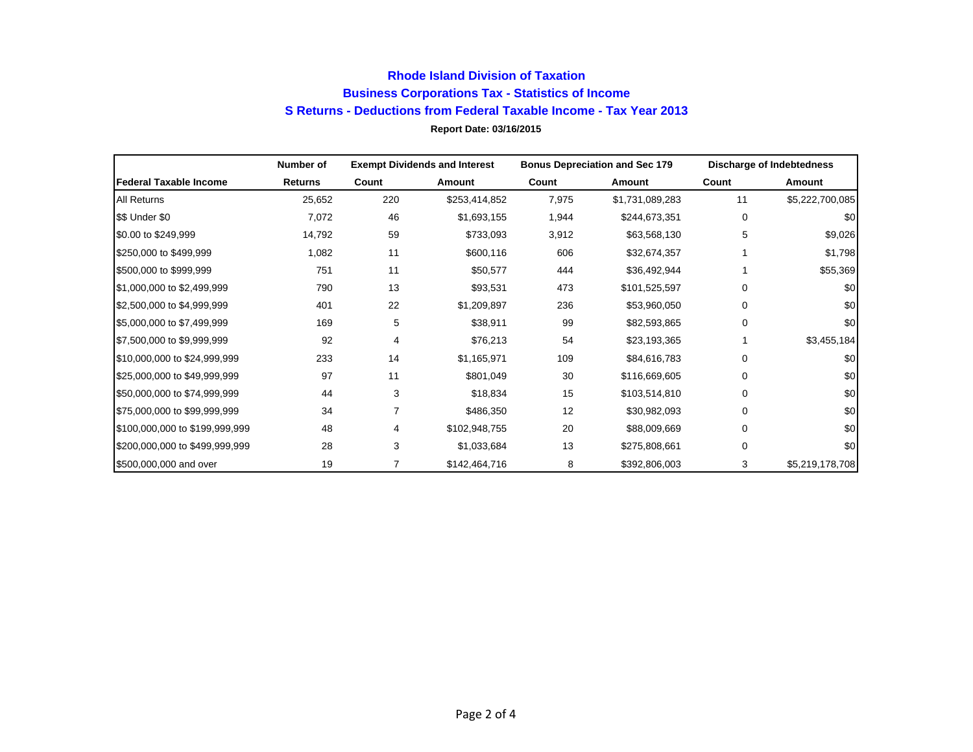## **Report Date: 03/16/2015 Rhode Island Division of Taxation Business Corporations Tax - Statistics of Income S Returns - Deductions from Federal Taxable Income - Tax Year 2013**

|                                | Number of      |       | <b>Exempt Dividends and Interest</b> |       | <b>Bonus Depreciation and Sec 179</b> |          | <b>Discharge of Indebtedness</b> |
|--------------------------------|----------------|-------|--------------------------------------|-------|---------------------------------------|----------|----------------------------------|
| <b>Federal Taxable Income</b>  | <b>Returns</b> | Count | Amount                               | Count | Amount                                | Count    | Amount                           |
| <b>All Returns</b>             | 25,652         | 220   | \$253,414,852                        | 7,975 | \$1,731,089,283                       | 11       | \$5,222,700,085                  |
| \$\$ Under \$0                 | 7,072          | 46    | \$1,693,155                          | 1,944 | \$244,673,351                         | 0        | \$0                              |
| \$0.00 to \$249,999            | 14,792         | 59    | \$733,093                            | 3,912 | \$63,568,130                          | 5        | \$9,026                          |
| \$250,000 to \$499,999         | 1,082          | 11    | \$600,116                            | 606   | \$32,674,357                          |          | \$1,798                          |
| \$500,000 to \$999,999         | 751            | 11    | \$50,577                             | 444   | \$36,492,944                          |          | \$55,369                         |
| \$1,000,000 to \$2,499,999     | 790            | 13    | \$93,531                             | 473   | \$101,525,597                         | 0        | \$0                              |
| \$2,500,000 to \$4,999,999     | 401            | 22    | \$1,209,897                          | 236   | \$53,960,050                          | 0        | \$0                              |
| \$5,000,000 to \$7,499,999     | 169            | 5     | \$38,911                             | 99    | \$82,593,865                          | 0        | \$0                              |
| \$7,500,000 to \$9,999,999     | 92             | 4     | \$76,213                             | 54    | \$23,193,365                          |          | \$3,455,184                      |
| \$10,000,000 to \$24,999,999   | 233            | 14    | \$1,165,971                          | 109   | \$84,616,783                          | 0        | \$0                              |
| \$25,000,000 to \$49,999,999   | 97             | 11    | \$801,049                            | 30    | \$116,669,605                         | 0        | \$0                              |
| \$50,000,000 to \$74,999,999   | 44             | 3     | \$18,834                             | 15    | \$103,514,810                         | 0        | \$0                              |
| \$75,000,000 to \$99,999,999   | 34             | 7     | \$486,350                            | 12    | \$30,982,093                          | 0        | \$0                              |
| \$100,000,000 to \$199,999,999 | 48             | 4     | \$102,948,755                        | 20    | \$88,009,669                          | 0        | \$0                              |
| \$200,000,000 to \$499,999,999 | 28             | 3     | \$1,033,684                          | 13    | \$275,808,661                         | $\Omega$ | \$0                              |
| \$500,000,000 and over         | 19             | 7     | \$142,464,716                        | 8     | \$392,806,003                         | 3        | \$5,219,178,708                  |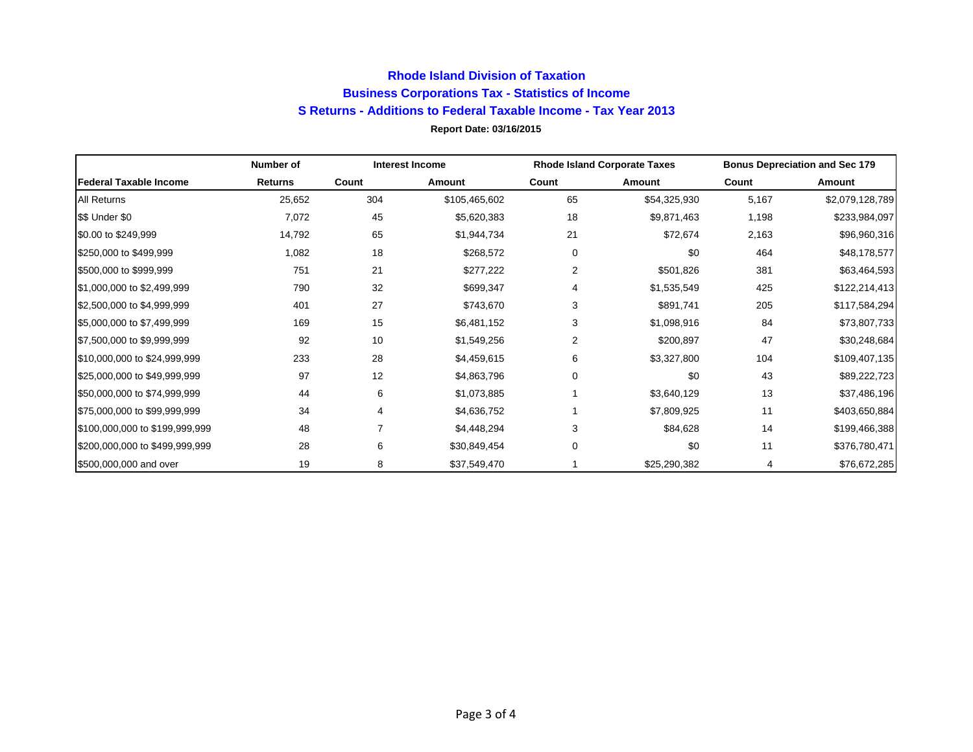## **Report Date: 03/16/2015 Rhode Island Division of Taxation Business Corporations Tax - Statistics of Income S Returns - Additions to Federal Taxable Income - Tax Year 2013**

|                                | Number of      |       | <b>Interest Income</b> |       | <b>Rhode Island Corporate Taxes</b> |       | <b>Bonus Depreciation and Sec 179</b> |
|--------------------------------|----------------|-------|------------------------|-------|-------------------------------------|-------|---------------------------------------|
| lFederal Taxable Income        | <b>Returns</b> | Count | Amount                 | Count | Amount                              | Count | Amount                                |
| <b>All Returns</b>             | 25,652         | 304   | \$105,465,602          | 65    | \$54,325,930                        | 5,167 | \$2,079,128,789                       |
| \$\$ Under \$0                 | 7,072          | 45    | \$5,620,383            | 18    | \$9,871,463                         | 1,198 | \$233,984,097                         |
| \$0.00 to \$249,999            | 14,792         | 65    | \$1,944,734            | 21    | \$72,674                            | 2,163 | \$96,960,316                          |
| \$250,000 to \$499,999         | 1,082          | 18    | \$268,572              | 0     | \$0                                 | 464   | \$48,178,577                          |
| \$500,000 to \$999,999         | 751            | 21    | \$277,222              | 2     | \$501,826                           | 381   | \$63,464,593                          |
| \$1,000,000 to \$2,499,999     | 790            | 32    | \$699,347              | 4     | \$1,535,549                         | 425   | \$122, 214, 413                       |
| \$2,500,000 to \$4,999,999     | 401            | 27    | \$743,670              | 3     | \$891,741                           | 205   | \$117,584,294                         |
| \$5,000,000 to \$7,499,999     | 169            | 15    | \$6,481,152            | 3     | \$1,098,916                         | 84    | \$73,807,733                          |
| \$7,500,000 to \$9,999,999     | 92             | 10    | \$1,549,256            | 2     | \$200,897                           | 47    | \$30,248,684                          |
| \$10,000,000 to \$24,999,999   | 233            | 28    | \$4,459,615            | 6     | \$3,327,800                         | 104   | \$109,407,135                         |
| \$25,000,000 to \$49,999,999   | 97             | 12    | \$4,863,796            | 0     | \$0                                 | 43    | \$89,222,723                          |
| \$50,000,000 to \$74,999,999   | 44             | 6     | \$1,073,885            |       | \$3,640,129                         | 13    | \$37,486,196                          |
| \$75,000,000 to \$99,999,999   | 34             | 4     | \$4,636,752            |       | \$7,809,925                         | 11    | \$403,650,884                         |
| \$100,000,000 to \$199,999,999 | 48             |       | \$4,448,294            | 3     | \$84,628                            | 14    | \$199,466,388                         |
| \$200,000,000 to \$499,999,999 | 28             | 6     | \$30,849,454           | 0     | \$0                                 | 11    | \$376,780,471                         |
| \$500,000,000 and over         | 19             | 8     | \$37,549,470           |       | \$25,290,382                        | 4     | \$76,672,285                          |